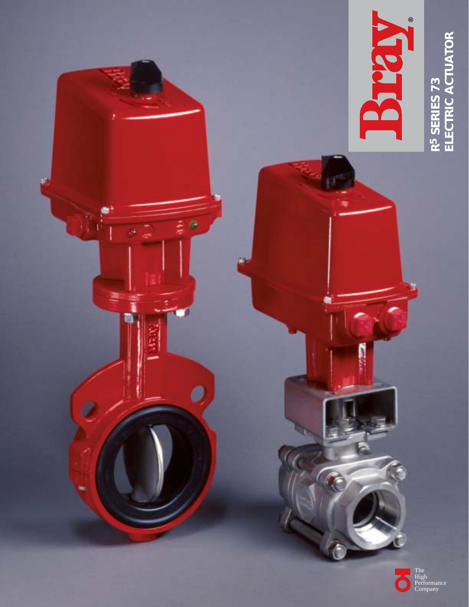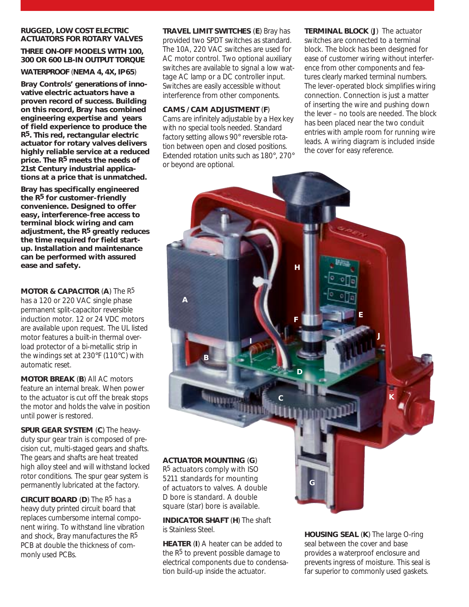#### **RUGGED, LOW COST ELECTRIC ACTUATORS FOR ROTARY VALVES**

#### **THREE ON-OFF MODELS WITH 100, 300 OR 600 LB-IN OUTPUT TORQUE**

**WATERPROOF** (**NEMA 4, 4X, IP 65**)

**Bray Controls' generations of innovative electric actuators have a proven record of success. Building on this record, Bray has combined engineering expertise and years of field experience to produce the R5. This red, rectangular electric actuator for rotary valves delivers highly reliable service at a reduced price. The R5 meets the needs of 21st Century industrial applications at a price that is unmatched.**

**Bray has specifically engineered the R5 for customer–friendly convenience. Designed to offer easy, interference–free access to terminal block wiring and cam adjustment, the R5 greatly reduces the time required for field startup. Installation and maintenance can be performed with assured ease and safety.**

**MOTOR & CAPACITOR** (**A**) The R5 has a 120 or 220 VAC single phase permanent split-capacitor reversible induction motor. 12 or 24 VDC motors are available upon request. The UL listed motor features a built-in thermal overload protector of a bi-metallic strip in the windings set at 230°F (110°C) with automatic reset.

**MOTOR BREAK** (**B**) All AC motors feature an internal break. When power to the actuator is cut off the break stops the motor and holds the valve in position until power is restored.

**SPUR GEAR SYSTEM** (**C**) The heavyduty spur gear train is composed of precision cut, multi-staged gears and shafts. The gears and shafts are heat treated high alloy steel and will withstand locked rotor conditions. The spur gear system is permanently lubricated at the factory.

**CIRCUIT BOARD** (**D**) The R5 has a heavy duty printed circuit board that replaces cumbersome internal component wiring. To withstand line vibration and shock, Bray manufactures the R5 PCB at double the thickness of commonly used PCBs.

**TRAVEL LIMIT SWITCHES** (**E**) Bray has provided two SPDT switches as standard. The 10A, 220 VAC switches are used for AC motor control. Two optional auxiliary switches are available to signal a low wattage AC lamp or a DC controller input. Switches are easily accessible without interference from other components.

# **CAMS / CAM ADJUSTMENT** (**F**)

Cams are infinitely adjustable by a Hex key with no special tools needed. Standard factory setting allows 90° reversible rotation between open and closed positions. Extended rotation units such as 180°, 270° or beyond are optional.

**TERMINAL BLOCK** (**J**) The actuator switches are connected to a terminal block. The block has been designed for ease of customer wiring without interference from other components and features clearly marked terminal numbers. The lever-operated block simplifies wiring connection. Connection is just a matter of inserting the wire and pushing down the lever – no tools are needed. The block has been placed near the two conduit entries with ample room for running wire leads. A wiring diagram is included inside the cover for easy reference.



square (star) bore is available.

**INDICATOR SHAFT** (**H**) The shaft is Stainless Steel.

**HEATER** (**I**) A heater can be added to the  $R<sup>5</sup>$  to prevent possible damage to electrical components due to condensation build-up inside the actuator.

**HOUSING SEAL** (**K**) The large O-ring seal between the cover and base provides a waterproof enclosure and prevents ingress of moisture. This seal is far superior to commonly used gaskets.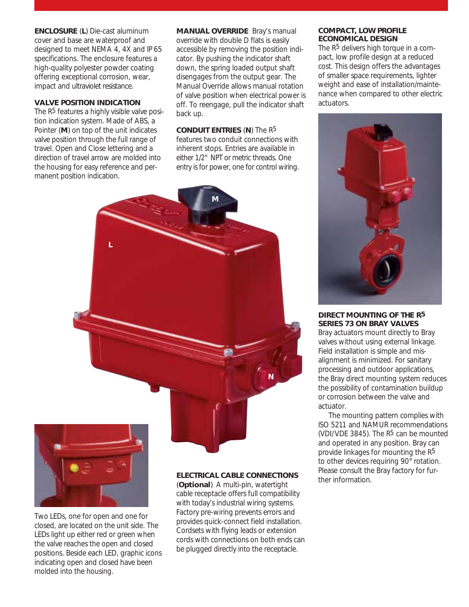**ENCLOSURE** (**L**) Die-cast aluminum cover and base are waterproof and designed to meet NEMA 4, 4X and IP 65 specifications. The enclosure features a high-quality polyester powder coating offering exceptional corrosion, wear, impact and ultraviolet resistance.

# **VALVE POSITION INDICATION**

The R<sup>5</sup> features a highly visible valve position indication system. Made of ABS, a Pointer (**M**) on top of the unit indicates valve position through the full range of travel. Open and Close lettering and a direction of travel arrow are molded into the housing for easy reference and permanent position indication.

**MANUAL OVERRIDE** Bray's manual override with double D flats is easily accessible by removing the position indicator. By pushing the indicator shaft down, the spring loaded output shaft disengages from the output gear. The Manual Override allows manual rotation of valve position when electrical power is off. To reengage, pull the indicator shaft back up.

# **CONDUIT ENTRIES** (**N**) The R5

features two conduit connections with inherent stops. Entries are available in either 1/2" NPT or metric threads. One entry is for power, one for control wiring.





Two LEDs, one for open and one for closed, are located on the unit side. The LEDs light up either red or green when the valve reaches the open and closed positions. Beside each LED, graphic icons indicating open and closed have been molded into the housing.

# **ELECTRICAL CABLE CONNECTIONS**

(**Optional**) A multi-pin, watertight cable receptacle offers full compatibility with today's industrial wiring systems. Factory pre-wiring prevents errors and provides quick–connect field installation. Cordsets with flying leads or extension cords with connections on both ends can be plugged directly into the receptacle.

#### **COMPACT, LOW PROFILE ECONOMICAL DESIGN**

The R5 delivers high torque in a compact, low profile design at a reduced cost. This design offers the advantages of smaller space requirements, lighter weight and ease of installation/maintenance when compared to other electric actuators.



#### **DIRECT MOUNTING OF THE R5 SERIES 73 ON BRAY VALVES**

Bray actuators mount directly to Bray valves without using external linkage. Field installation is simple and misalignment is minimized. For sanitary processing and outdoor applications, the Bray direct mounting system reduces the possibility of contamination buildup or corrosion between the valve and actuator.

The mounting pattern complies with ISO 5211 and NAMUR recommendations (VDI/VDE 3845). The  $R<sup>5</sup>$  can be mounted and operated in any position. Bray can provide linkages for mounting the R5 to other devices requiring 90<sup>°</sup> rotation. Please consult the Bray factory for further information.